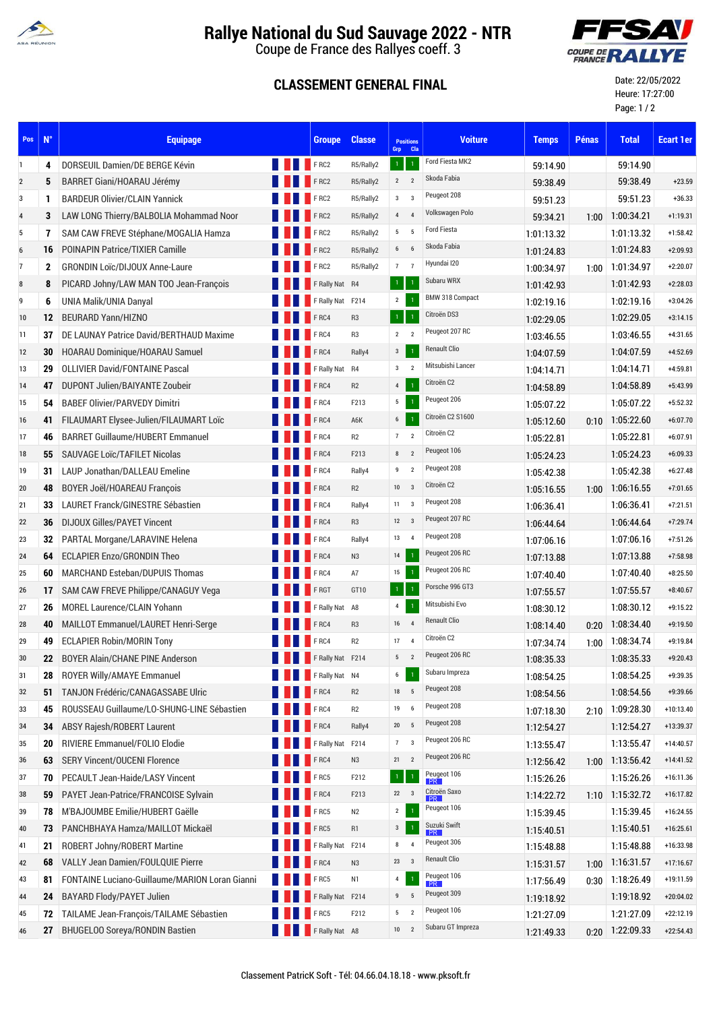

## **Rallye National du Sud Sauvage 2022 - NTR**

Coupe de France des Rallyes coeff. 3

## **CLASSEMENT GENERAL FINAL**



Date: 22/05/2022 Heure: 17:27:00 Page: 1 / 2

| Pos             | $N^{\circ}$  | <b>Equipage</b>                                |  | <b>Groupe</b>        | <b>Classe</b>  | <b>Positions</b><br>Grp Cla             | <b>Voiture</b>             | <b>Temps</b> | <b>Pénas</b> | <b>Total</b> | <b>Ecart 1er</b> |
|-----------------|--------------|------------------------------------------------|--|----------------------|----------------|-----------------------------------------|----------------------------|--------------|--------------|--------------|------------------|
| $\mathbf{1}$    | 4            | DORSEUIL Damien/DE BERGE Kévin                 |  | <b>FRC2</b>          | R5/Rally2      | $\mathbf{1}$<br>$\mathbf{1}$            | Ford Fiesta MK2            | 59.14.90     |              | 59:14.90     |                  |
| $\overline{2}$  | 5            | <b>BARRET Giani/HOARAU Jérémy</b>              |  | FRC2                 | R5/Rally2      | $2 \t 2$                                | Skoda Fabia                | 59.38.49     |              | 59:38.49     | $+23.59$         |
| 3               | 1            | <b>BARDEUR Olivier/CLAIN Yannick</b>           |  | <b>FRC2</b>          | R5/Rally2      | $\mathbf{3}$<br>$\overline{\mathbf{3}}$ | Peugeot 208                | 59:51.23     |              | 59:51.23     | $+36.33$         |
| $\overline{4}$  | 3            | LAW LONG Thierry/BALBOLIA Mohammad Noor        |  | F <sub>RC2</sub>     | R5/Rally2      | 4<br>$\overline{4}$                     | Volkswagen Polo            | 59:34.21     | 1:00         | 1:00:34.21   | $+1:19.31$       |
| 5               | 7            | SAM CAW FREVE Stéphane/MOGALIA Hamza           |  | FRC2                 | R5/Rally2      | 5 <sub>5</sub><br>5                     | <b>Ford Fiesta</b>         | 1.01.13.32   |              | 1:01:13.32   | $+1:58.42$       |
| $6\phantom{.}6$ | 16           | <b>POINAPIN Patrice/TIXIER Camille</b>         |  | F <sub>RC2</sub>     | R5/Rally2      | 6<br>$6\overline{6}$                    | Skoda Fabia                | 1.01.24.83   |              | 1:01:24.83   | $+2:09.93$       |
| $\overline{7}$  | $\mathbf{2}$ | <b>GRONDIN Loïc/DIJOUX Anne-Laure</b>          |  | FRC2                 | R5/Rally2      | 7 <sub>7</sub>                          | Hyundai I20                | 1:00:34.97   | 1:00         | 1:01:34.97   | $+2:20.07$       |
| 8               | 8            | PICARD Johny/LAW MAN TOO Jean-François         |  | F Rally Nat R4       |                | -1                                      | Subaru WRX                 | 1.01.42.93   |              | 1.01.42.93   | $+2:28.03$       |
| 9               | 6            | <b>UNIA Malik/UNIA Danyal</b>                  |  | F Rally Nat F214     |                | $\overline{1}$<br>$\overline{2}$        | BMW 318 Compact            | 1:02:19.16   |              | 1:02:19.16   | $+3:04.26$       |
| 10              | 12           | <b>BEURARD Yann/HIZNO</b>                      |  | FRC4                 | R <sub>3</sub> | $1 -$                                   | Citroën DS3                | 1.02.29.05   |              | 1:02:29.05   | $+3:14.15$       |
| 11              | 37           | DE LAUNAY Patrice David/BERTHAUD Maxime        |  | FRC4                 | R <sub>3</sub> | $2 \quad 2$                             | Peugeot 207 RC             | 1.03.46.55   |              | 1:03:46.55   | $+4:31.65$       |
| 12              | 30           | HOARAU Dominique/HOARAU Samuel                 |  | FRC4                 | Rally4         | $\mathbf{3}$<br>$\overline{1}$          | <b>Renault Clio</b>        | 1:04:07.59   |              | 1:04:07.59   | $+4:52.69$       |
| 13              | 29           | <b>OLLIVIER David/FONTAINE Pascal</b>          |  | F Rally Nat R4       |                | $3^{\circ}$<br>$\overline{2}$           | Mitsubishi Lancer          | 1.04.14.71   |              | 1:04:14.71   | $+4:59.81$       |
| 14              | 47           | DUPONT Julien/BAIYANTE Zoubeir                 |  | F <sub>RC4</sub>     | R2             | $\overline{4}$<br>$\overline{1}$        | Citroën C2                 | 1.04.58.89   |              | 1:04:58.89   | $+5:43.99$       |
| 15              | 54           | <b>BABEF Olivier/PARVEDY Dimitri</b>           |  | FRC4                 | F213           | 5 <sub>5</sub><br>$\overline{1}$        | Peugeot 206                | 1:05:07.22   |              | 1:05:07.22   | $+5:52.32$       |
| 16              | 41           | FILAUMART Elysee-Julien/FILAUMART Loïc         |  | FRC4                 | A6K            | 6 <sup>1</sup>                          | Citroën C2 S1600           | 1.05.12.60   | 0:10         | 1:05:22.60   | $+6:07.70$       |
| 17              | 46           | <b>BARRET Guillaume/HUBERT Emmanuel</b>        |  | FRC4                 | R2             | 7<br>$\overline{2}$                     | Citroën C2                 | 1:05:22.81   |              | 1:05:22.81   | $+6:07.91$       |
| 18              | 55           | <b>SAUVAGE LOIC/TAFILET Nicolas</b>            |  | $\blacksquare$ F RC4 | F213           | 8 <sub>2</sub>                          | Peugeot 106                | 1:05:24.23   |              | 1:05:24.23   | $+6:09.33$       |
| 19              | 31           | LAUP Jonathan/DALLEAU Emeline                  |  | FRC4                 | Rally4         | $\overline{2}$<br>9                     | Peugeot 208                | 1.05.42.38   |              | 1:05:42.38   | $+6:27.48$       |
| 20              | 48           | <b>BOYER Joël/HOAREAU François</b>             |  | $\blacksquare$ F RC4 | R2             | $10 \qquad 3$                           | Citroën C2                 | 1.05.16.55   | 1:00         | 1:06:16.55   | $+7:01.65$       |
| 21              | 33           | LAURET Franck/GINESTRE Sébastien               |  | FRC4                 | Rally4         | $11 \quad 3$                            | Peugeot 208                | 1.06.36.41   |              | 1:06:36.41   | $+7:21.51$       |
| 22              | 36           | <b>DIJOUX Gilles/PAYET Vincent</b>             |  | FRC4                 | R <sub>3</sub> | $12 \t3$                                | Peugeot 207 RC             | 1.06.44.64   |              | 1:06:44.64   | $+7:29.74$       |
| 23              | 32           | PARTAL Morgane/LARAVINE Helena                 |  | F <sub>RC4</sub>     | Rally4         | 13 4                                    | Peugeot 208                | 1:07:06.16   |              | 1:07:06.16   | $+7:51.26$       |
| 24              | 64           | <b>ECLAPIER Enzo/GRONDIN Theo</b>              |  | FRC4                 | N3             | 14<br>$\overline{1}$                    | Peugeot 206 RC             | 1.07.13.88   |              | 1:07:13.88   | $+7:58.98$       |
| 25              | 60           | <b>MARCHAND Esteban/DUPUIS Thomas</b>          |  | FRC4                 | A7             | 15<br>$\overline{1}$                    | Peugeot 206 RC             | 1.07.40.40   |              | 1:07:40.40   | $+8:25.50$       |
| 26              | 17           | SAM CAW FREVE Philippe/CANAGUY Vega            |  | FRGT                 | GT10           | $1 -$                                   | Porsche 996 GT3            | 1.07.55.57   |              | 1:07:55.57   | $+8:40.67$       |
| 27              | 26           | <b>MOREL Laurence/CLAIN Yohann</b>             |  | F Rally Nat          | A8             | $\overline{4}$                          | Mitsubishi Evo             | 1.08.30.12   |              | 1:08:30.12   | $+9:15.22$       |
| 28              | 40           | MAILLOT Emmanuel/LAURET Henri-Serge            |  | F RC4                | R <sub>3</sub> | 16 4                                    | <b>Renault Clio</b>        | 1.08.14.40   | 0:20         | 1:08:34.40   | $+9:19.50$       |
| 29              | 49           | <b>ECLAPIER Robin/MORIN Tony</b>               |  | F RC4                | R <sub>2</sub> | 17 4                                    | Citroën C2                 | 1:07:34.74   | 1:00         | 1:08:34.74   | +9:19.84         |
| 30              | 22           | <b>BOYER Alain/CHANE PINE Anderson</b>         |  | F Rally Nat F214     |                | 5 <sup>5</sup><br>$\overline{2}$        | Peugeot 206 RC             | 1.08.35.33   |              | 1:08:35.33   | $+9:20.43$       |
| 31              | 28           | ROYER Willy/AMAYE Emmanuel                     |  | <b>FRally Nat N4</b> |                | 6<br>$\overline{1}$                     | Subaru Impreza             | 1:08:54.25   |              | 1:08:54.25   | +9:39.35         |
| 32              | 51           | <b>TANJON Frédéric/CANAGASSABE Ulric</b>       |  | F RC4                | R2             | $18 \qquad 5$                           | Peugeot 208                | 1:08:54.56   |              | 1:08:54.56   | +9:39.66         |
| 33              | 45           | ROUSSEAU Guillaume/LO-SHUNG-LINE Sébastien     |  | FRC4                 | R <sub>2</sub> | 19 6                                    | Peugeot 208                | 1:07:18.30   | 2:10         | 1:09:28.30   | $+10:13.40$      |
| 34              | 34           | ABSY Rajesh/ROBERT Laurent                     |  | FRC4                 | Rally4         | $20\qquad 5$                            | Peugeot 208                | 1:12:54.27   |              | 1:12:54.27   | +13:39.37        |
| 35              | 20           | RIVIERE Emmanuel/FOLIO Elodie                  |  | F Rally Nat          | F214           | $7 \quad 3$                             | Peugeot 206 RC             | 1:13:55.47   |              | 1:13:55.47   | $+14:40.57$      |
| 36              | 63           | <b>SERY Vincent/OUCENI Florence</b>            |  | FRC4                 | N3             | $21 \t 2$                               | Peugeot 206 RC             | 1:12:56.42   | 1:00         | 1:13:56.42   | $+14:41.52$      |
| 37              | 70           | PECAULT Jean-Haide/LASY Vincent                |  | FRC5                 | F212           | $1 \mid 1$                              | Peugeot 106                | 1:15:26.26   |              | 1:15:26.26   | $+16:11.36$      |
| 38              | 59           | PAYET Jean-Patrice/FRANCOISE Sylvain           |  | FRC4                 | F213           | $22 \t3$                                | Citroën Saxo<br><b>LPR</b> | 1:14:22.72   | 1:10         | 1:15:32.72   | +16:17.82        |
| 39              | 78           | M'BAJOUMBE Emilie/HUBERT Gaëlle                |  | FRC5                 | N2             | $\mathbf{1}$<br>$\overline{2}$          | Peugeot 106                | 1:15:39.45   |              | 1:15:39.45   | $+16:24.55$      |
| 40              | 73           | PANCHBHAYA Hamza/MAILLOT Mickaël               |  | FRC5                 | R1             | $\,1\,$<br>3 <sub>1</sub>               | Suzuki Swift<br><b>PR</b>  | 1:15:40.51   |              | 1:15:40.51   | $+16:25.61$      |
| 41              | 21           | ROBERT Johny/ROBERT Martine                    |  | F Rally Nat F214     |                | 8<br>$\overline{4}$                     | Peugeot 306                | 1:15:48.88   |              | 1:15:48.88   | +16:33.98        |
| 42              | 68           | VALLY Jean Damien/FOULQUIE Pierre              |  | FRC4                 | N <sub>3</sub> | $23 \t3$                                | <b>Renault Clio</b>        | 1:15:31.57   | 1:00         | 1:16:31.57   | $+17:16.67$      |
| 43              | 81           | FONTAINE Luciano-Guillaume/MARION Loran Gianni |  | FRC5                 | N1             | $\overline{4}$<br>$\mathbf{1}$          | Peugeot 106<br>PR :        | 1:17:56.49   | 0:30         | 1:18:26.49   | +19:11.59        |
| 44              | 24           | <b>BAYARD Flody/PAYET Julien</b>               |  | F Rally Nat F214     |                | 9<br>5                                  | Peugeot 309                | 1:19:18.92   |              | 1:19:18.92   | $+20:04.02$      |
| 45              | 72           | TAILAME Jean-François/TAILAME Sébastien        |  | FRC5                 | F212           | $\overline{2}$<br>5 <sub>5</sub>        | Peugeot 106                | 1:21:27.09   |              | 1:21:27.09   | $+22:12.19$      |
| 46              | 27           | <b>BHUGELOO Soreya/RONDIN Bastien</b>          |  | F Rally Nat A8       |                | $10 \qquad 2$                           | Subaru GT Impreza          | 1:21:49.33   | 0:20         | 1:22:09.33   | $+22:54.43$      |
|                 |              |                                                |  |                      |                |                                         |                            |              |              |              |                  |